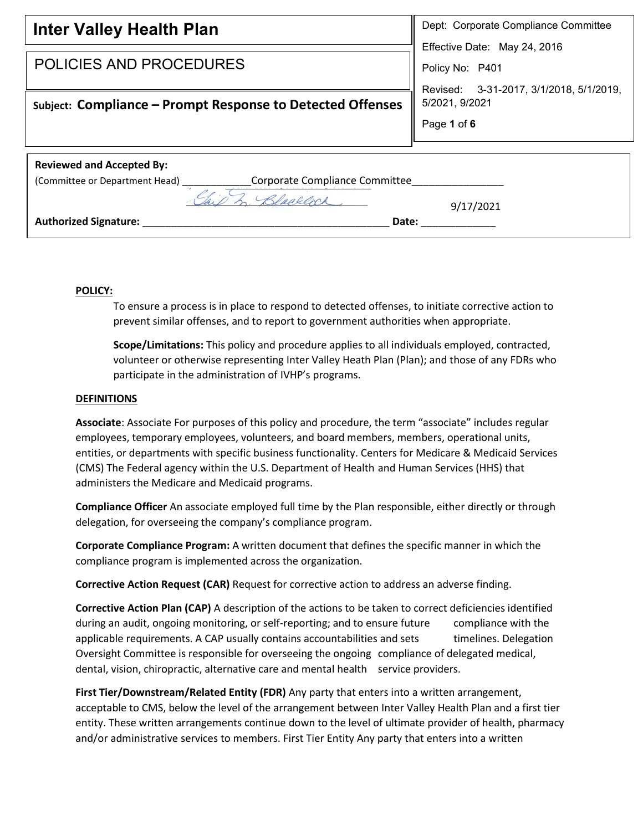| <b>Inter Valley Health Plan</b>                                  | Dept: Corporate Compliance Committee       |  |
|------------------------------------------------------------------|--------------------------------------------|--|
|                                                                  | Effective Date: May 24, 2016               |  |
| POLICIES AND PROCEDURES                                          | Policy No: P401                            |  |
|                                                                  | 3-31-2017, 3/1/2018, 5/1/2019,<br>Revised: |  |
| Subject: Compliance - Prompt Response to Detected Offenses       | 5/2021, 9/2021                             |  |
|                                                                  | Page 1 of 6                                |  |
|                                                                  |                                            |  |
| <b>Reviewed and Accepted By:</b>                                 |                                            |  |
| Corporate Compliance Committee<br>(Committee or Department Head) |                                            |  |
| 1 Rhadelock                                                      | 9/17/2021                                  |  |
| <b>Authorized Signature:</b><br>Date:                            |                                            |  |

## **POLICY:**

To ensure a process is in place to respond to detected offenses, to initiate corrective action to prevent similar offenses, and to report to government authorities when appropriate.

**Scope/Limitations:** This policy and procedure applies to all individuals employed, contracted, volunteer or otherwise representing Inter Valley Heath Plan (Plan); and those of any FDRs who participate in the administration of IVHP's programs.

## **DEFINITIONS**

**Associate**: Associate For purposes of this policy and procedure, the term "associate" includes regular employees, temporary employees, volunteers, and board members, members, operational units, entities, or departments with specific business functionality. Centers for Medicare & Medicaid Services (CMS) The Federal agency within the U.S. Department of Health and Human Services (HHS) that administers the Medicare and Medicaid programs.

**Compliance Officer** An associate employed full time by the Plan responsible, either directly or through delegation, for overseeing the company's compliance program.

**Corporate Compliance Program:** A written document that defines the specific manner in which the compliance program is implemented across the organization.

**Corrective Action Request (CAR)** Request for corrective action to address an adverse finding.

**Corrective Action Plan (CAP)** A description of the actions to be taken to correct deficiencies identified during an audit, ongoing monitoring, or self-reporting; and to ensure future compliance with the applicable requirements. A CAP usually contains accountabilities and sets timelines. Delegation Oversight Committee is responsible for overseeing the ongoing compliance of delegated medical, dental, vision, chiropractic, alternative care and mental health service providers.

**First Tier/Downstream/Related Entity (FDR)** Any party that enters into a written arrangement, acceptable to CMS, below the level of the arrangement between Inter Valley Health Plan and a first tier entity. These written arrangements continue down to the level of ultimate provider of health, pharmacy and/or administrative services to members. First Tier Entity Any party that enters into a written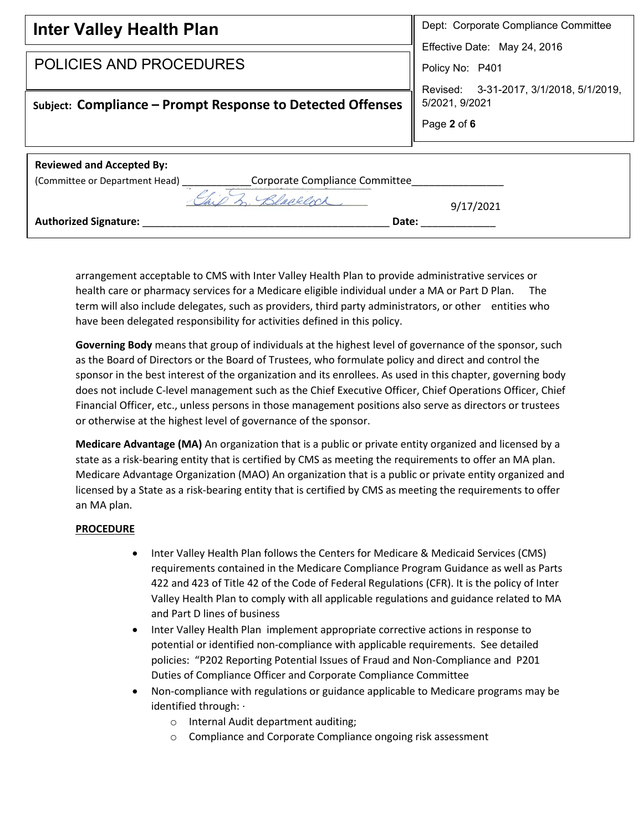| <b>Inter Valley Health Plan</b>                                  | Dept: Corporate Compliance Committee    |  |
|------------------------------------------------------------------|-----------------------------------------|--|
|                                                                  | Effective Date: May 24, 2016            |  |
| <b>POLICIES AND PROCEDURES</b>                                   | Policy No: P401                         |  |
|                                                                  | Revised: 3-31-2017, 3/1/2018, 5/1/2019, |  |
| Subject: Compliance – Prompt Response to Detected Offenses       | 5/2021, 9/2021                          |  |
|                                                                  | Page 2 of 6                             |  |
|                                                                  |                                         |  |
| <b>Reviewed and Accepted By:</b>                                 |                                         |  |
| Corporate Compliance Committee<br>(Committee or Department Head) |                                         |  |
| 1 Rhablock                                                       | 9/17/2021                               |  |
| Authorized Signature:<br>Date:                                   |                                         |  |

arrangement acceptable to CMS with Inter Valley Health Plan to provide administrative services or health care or pharmacy services for a Medicare eligible individual under a MA or Part D Plan. The term will also include delegates, such as providers, third party administrators, or other entities who have been delegated responsibility for activities defined in this policy.

**Governing Body** means that group of individuals at the highest level of governance of the sponsor, such as the Board of Directors or the Board of Trustees, who formulate policy and direct and control the sponsor in the best interest of the organization and its enrollees. As used in this chapter, governing body does not include C-level management such as the Chief Executive Officer, Chief Operations Officer, Chief Financial Officer, etc., unless persons in those management positions also serve as directors or trustees or otherwise at the highest level of governance of the sponsor.

**Medicare Advantage (MA)** An organization that is a public or private entity organized and licensed by a state as a risk-bearing entity that is certified by CMS as meeting the requirements to offer an MA plan. Medicare Advantage Organization (MAO) An organization that is a public or private entity organized and licensed by a State as a risk-bearing entity that is certified by CMS as meeting the requirements to offer an MA plan.

## **PROCEDURE**

- Inter Valley Health Plan follows the Centers for Medicare & Medicaid Services (CMS) requirements contained in the Medicare Compliance Program Guidance as well as Parts 422 and 423 of Title 42 of the Code of Federal Regulations (CFR). It is the policy of Inter Valley Health Plan to comply with all applicable regulations and guidance related to MA and Part D lines of business
- Inter Valley Health Plan implement appropriate corrective actions in response to potential or identified non-compliance with applicable requirements. See detailed policies: "P202 Reporting Potential Issues of Fraud and Non-Compliance and P201 Duties of Compliance Officer and Corporate Compliance Committee
- Non-compliance with regulations or guidance applicable to Medicare programs may be identified through: ·
	- o Internal Audit department auditing;
	- o Compliance and Corporate Compliance ongoing risk assessment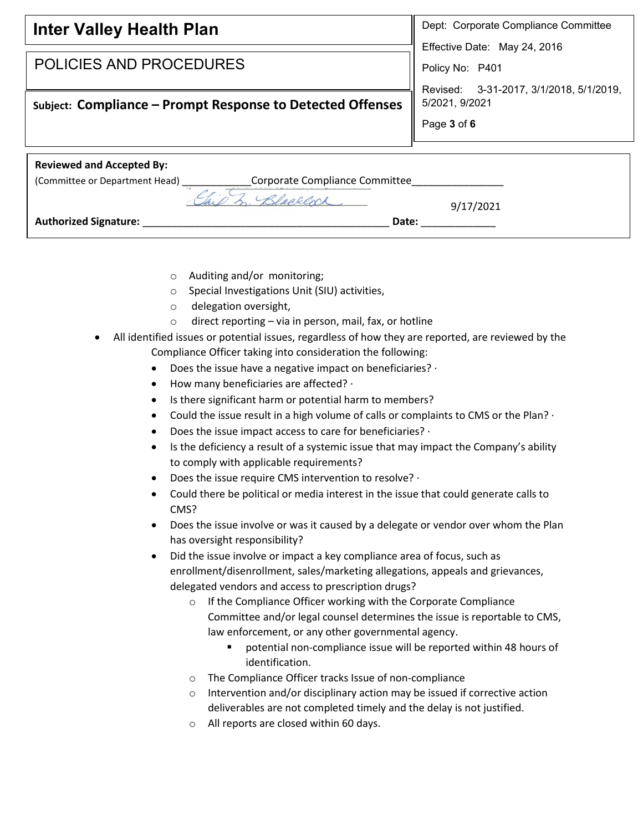| <b>Inter Valley Health Plan</b>                                  | Dept: Corporate Compliance Committee                       |
|------------------------------------------------------------------|------------------------------------------------------------|
| <b>POLICIES AND PROCEDURES</b>                                   | Effective Date: May 24, 2016                               |
|                                                                  | Policy No: P401<br>Revised: 3-31-2017, 3/1/2018, 5/1/2019, |
| Subject: Compliance - Prompt Response to Detected Offenses       | 5/2021, 9/2021                                             |
|                                                                  | Page 3 of 6                                                |
| <b>Reviewed and Accepted By:</b>                                 |                                                            |
| Corporate Compliance Committee<br>(Committee or Department Head) |                                                            |
| 2 Blacklock                                                      | 9/17/2021                                                  |
| <b>Authorized Signature:</b><br>Date:                            |                                                            |
|                                                                  |                                                            |

- o Auditing and/or monitoring;
- o Special Investigations Unit (SIU) activities,
- o delegation oversight,
- $\circ$  direct reporting via in person, mail, fax, or hotline
- All identified issues or potential issues, regardless of how they are reported, are reviewed by the Compliance Officer taking into consideration the following:
	- Does the issue have a negative impact on beneficiaries?  $\cdot$
	- How many beneficiaries are affected? ·
	- Is there significant harm or potential harm to members?
	- Could the issue result in a high volume of calls or complaints to CMS or the Plan?  $\cdot$
	- Does the issue impact access to care for beneficiaries? ·
	- Is the deficiency a result of a systemic issue that may impact the Company's ability to comply with applicable requirements?
	- Does the issue require CMS intervention to resolve? ·
	- Could there be political or media interest in the issue that could generate calls to CMS?
	- Does the issue involve or was it caused by a delegate or vendor over whom the Plan has oversight responsibility?
	- Did the issue involve or impact a key compliance area of focus, such as enrollment/disenrollment, sales/marketing allegations, appeals and grievances, delegated vendors and access to prescription drugs?
		- o If the Compliance Officer working with the Corporate Compliance Committee and/or legal counsel determines the issue is reportable to CMS, law enforcement, or any other governmental agency.
			- potential non-compliance issue will be reported within 48 hours of identification.
		- o The Compliance Officer tracks Issue of non-compliance
		- o Intervention and/or disciplinary action may be issued if corrective action deliverables are not completed timely and the delay is not justified.
		- o All reports are closed within 60 days.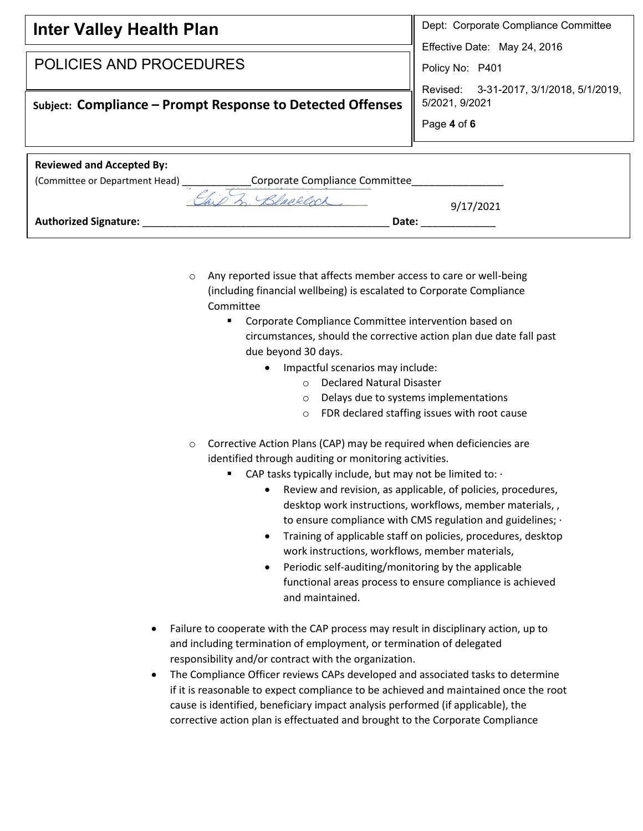| <b>Inter Valley Health Plan</b>                                   | Dept: Corporate Compliance Committee    |  |
|-------------------------------------------------------------------|-----------------------------------------|--|
|                                                                   | Effective Date: May 24, 2016            |  |
| <b>POLICIES AND PROCEDURES</b>                                    | Policy No: P401                         |  |
|                                                                   | Revised: 3-31-2017, 3/1/2018, 5/1/2019, |  |
| Subject: Compliance - Prompt Response to Detected Offenses        | 5/2021, 9/2021                          |  |
|                                                                   | Page 4 of 6                             |  |
|                                                                   |                                         |  |
| <b>Reviewed and Accepted By:</b>                                  |                                         |  |
| Corporate Compliance Committee_<br>(Committee or Department Head) |                                         |  |
| $\overline{a}$<br>Blacklock                                       | 9/17/2021                               |  |
| <b>Authorized Signature:</b><br>Date:                             |                                         |  |
|                                                                   |                                         |  |

- o Any reported issue that affects member access to care or well-being (including financial wellbeing) is escalated to Corporate Compliance Committee
	- Corporate Compliance Committee intervention based on circumstances, should the corrective action plan due date fall past due beyond 30 days.
		- Impactful scenarios may include:
			- o Declared Natural Disaster
			- o Delays due to systems implementations
			- o FDR declared staffing issues with root cause
- o Corrective Action Plans (CAP) may be required when deficiencies are identified through auditing or monitoring activities.
	- CAP tasks typically include, but may not be limited to:  $\cdot$ 
		- Review and revision, as applicable, of policies, procedures, desktop work instructions, workflows, member materials, , to ensure compliance with CMS regulation and guidelines; ·
		- Training of applicable staff on policies, procedures, desktop work instructions, workflows, member materials,
		- Periodic self-auditing/monitoring by the applicable functional areas process to ensure compliance is achieved and maintained.
- Failure to cooperate with the CAP process may result in disciplinary action, up to and including termination of employment, or termination of delegated responsibility and/or contract with the organization.
- The Compliance Officer reviews CAPs developed and associated tasks to determine if it is reasonable to expect compliance to be achieved and maintained once the root cause is identified, beneficiary impact analysis performed (if applicable), the corrective action plan is effectuated and brought to the Corporate Compliance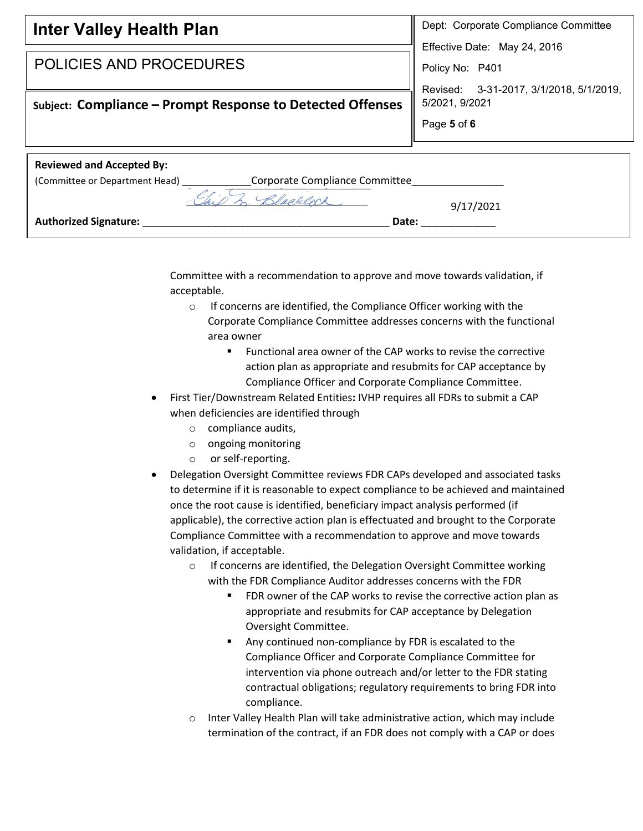| <b>Inter Valley Health Plan</b>                                  | Dept: Corporate Compliance Committee    |  |
|------------------------------------------------------------------|-----------------------------------------|--|
|                                                                  | Effective Date: May 24, 2016            |  |
| POLICIES AND PROCEDURES                                          | Policy No: P401                         |  |
|                                                                  | Revised: 3-31-2017, 3/1/2018, 5/1/2019, |  |
| Subject: Compliance – Prompt Response to Detected Offenses       | 5/2021, 9/2021                          |  |
|                                                                  | Page 5 of 6                             |  |
|                                                                  |                                         |  |
| <b>Reviewed and Accepted By:</b>                                 |                                         |  |
| Corporate Compliance Committee<br>(Committee or Department Head) |                                         |  |
| 1 Rlaakloch                                                      | 9/17/2021                               |  |
| <b>Authorized Signature:</b><br>Date:                            |                                         |  |

Committee with a recommendation to approve and move towards validation, if acceptable.

- o If concerns are identified, the Compliance Officer working with the Corporate Compliance Committee addresses concerns with the functional area owner
	- Functional area owner of the CAP works to revise the corrective action plan as appropriate and resubmits for CAP acceptance by Compliance Officer and Corporate Compliance Committee.
- First Tier/Downstream Related Entities**:** IVHP requires all FDRs to submit a CAP when deficiencies are identified through
	- o compliance audits,
	- o ongoing monitoring
	- o or self-reporting.
- Delegation Oversight Committee reviews FDR CAPs developed and associated tasks to determine if it is reasonable to expect compliance to be achieved and maintained once the root cause is identified, beneficiary impact analysis performed (if applicable), the corrective action plan is effectuated and brought to the Corporate Compliance Committee with a recommendation to approve and move towards validation, if acceptable.
	- o If concerns are identified, the Delegation Oversight Committee working with the FDR Compliance Auditor addresses concerns with the FDR
		- FDR owner of the CAP works to revise the corrective action plan as appropriate and resubmits for CAP acceptance by Delegation Oversight Committee.
		- Any continued non-compliance by FDR is escalated to the Compliance Officer and Corporate Compliance Committee for intervention via phone outreach and/or letter to the FDR stating contractual obligations; regulatory requirements to bring FDR into compliance.
	- o Inter Valley Health Plan will take administrative action, which may include termination of the contract, if an FDR does not comply with a CAP or does